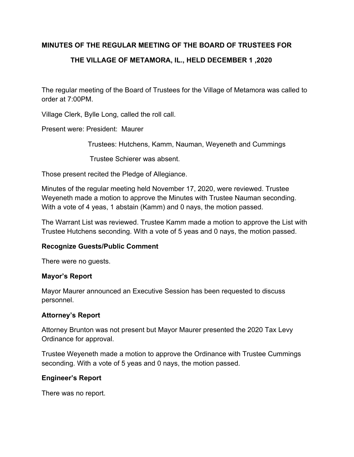# **MINUTES OF THE REGULAR MEETING OF THE BOARD OF TRUSTEES FOR**

# **THE VILLAGE OF METAMORA, IL., HELD DECEMBER 1 ,2020**

The regular meeting of the Board of Trustees for the Village of Metamora was called to order at 7:00PM.

Village Clerk, Bylle Long, called the roll call.

Present were: President: Maurer

Trustees: Hutchens, Kamm, Nauman, Weyeneth and Cummings

Trustee Schierer was absent.

Those present recited the Pledge of Allegiance.

Minutes of the regular meeting held November 17, 2020, were reviewed. Trustee Weyeneth made a motion to approve the Minutes with Trustee Nauman seconding. With a vote of 4 yeas, 1 abstain (Kamm) and 0 nays, the motion passed.

The Warrant List was reviewed. Trustee Kamm made a motion to approve the List with Trustee Hutchens seconding. With a vote of 5 yeas and 0 nays, the motion passed.

## **Recognize Guests/Public Comment**

There were no guests.

## **Mayor's Report**

Mayor Maurer announced an Executive Session has been requested to discuss personnel.

## **Attorney's Report**

Attorney Brunton was not present but Mayor Maurer presented the 2020 Tax Levy Ordinance for approval.

Trustee Weyeneth made a motion to approve the Ordinance with Trustee Cummings seconding. With a vote of 5 yeas and 0 nays, the motion passed.

## **Engineer's Report**

There was no report.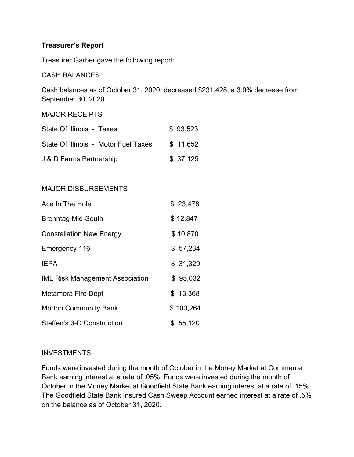## **Treasurer's Report**

Treasurer Garber gave the following report:

#### CASH BALANCES

Cash balances as of October 31, 2020, decreased \$231,428, a 3.9% decrease from September 30, 2020.

#### MAJOR RECEIPTS

| State Of Illinois - Taxes            | \$93,523 |
|--------------------------------------|----------|
| State Of Illinois - Motor Fuel Taxes | \$11,652 |
| J & D Farms Partnership              | \$37,125 |

## MAJOR DISBURSEMENTS

| Ace In The Hole                        | \$23,478  |
|----------------------------------------|-----------|
| <b>Brenntag Mid-South</b>              | \$12,847  |
| <b>Constellation New Energy</b>        | \$10,870  |
| Emergency 116                          | \$57,234  |
| <b>IEPA</b>                            | \$31,329  |
| <b>IML Risk Management Association</b> | \$95,032  |
| Metamora Fire Dept                     | \$13,368  |
| <b>Morton Community Bank</b>           | \$100,264 |
| Steffen's 3-D Construction             | \$55,120  |

#### **INVESTMENTS**

Funds were invested during the month of October in the Money Market at Commerce Bank earning interest at a rate of .05%. Funds were invested during the month of October in the Money Market at Goodfield State Bank earning interest at a rate of .15%. The Goodfield State Bank Insured Cash Sweep Account earned interest at a rate of .5% on the balance as of October 31, 2020.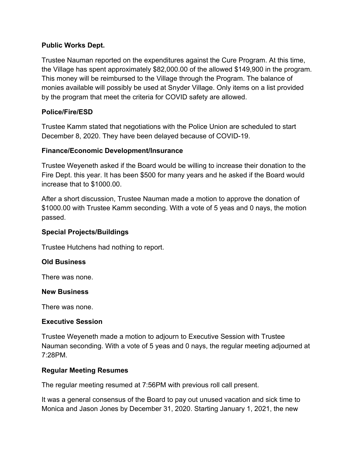## **Public Works Dept.**

Trustee Nauman reported on the expenditures against the Cure Program. At this time, the Village has spent approximately \$82,000.00 of the allowed \$149,900 in the program. This money will be reimbursed to the Village through the Program. The balance of monies available will possibly be used at Snyder Village. Only items on a list provided by the program that meet the criteria for COVID safety are allowed.

## **Police/Fire/ESD**

Trustee Kamm stated that negotiations with the Police Union are scheduled to start December 8, 2020. They have been delayed because of COVID-19.

## **Finance/Economic Development/Insurance**

Trustee Weyeneth asked if the Board would be willing to increase their donation to the Fire Dept. this year. It has been \$500 for many years and he asked if the Board would increase that to \$1000.00.

After a short discussion, Trustee Nauman made a motion to approve the donation of \$1000.00 with Trustee Kamm seconding. With a vote of 5 yeas and 0 nays, the motion passed.

## **Special Projects/Buildings**

Trustee Hutchens had nothing to report.

## **Old Business**

There was none.

## **New Business**

There was none.

## **Executive Session**

Trustee Weyeneth made a motion to adjourn to Executive Session with Trustee Nauman seconding. With a vote of 5 yeas and 0 nays, the regular meeting adjourned at 7:28PM.

## **Regular Meeting Resumes**

The regular meeting resumed at 7:56PM with previous roll call present.

It was a general consensus of the Board to pay out unused vacation and sick time to Monica and Jason Jones by December 31, 2020. Starting January 1, 2021, the new